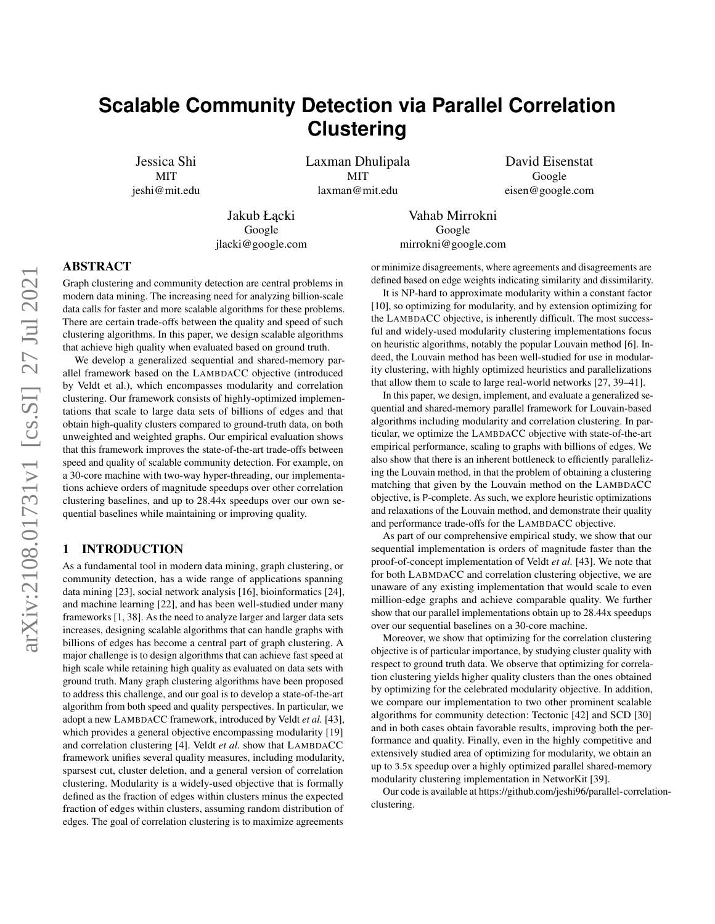# **Scalable Community Detection via Parallel Correlation Clustering**

Jessica Shi **MIT** jeshi@mit.edu Laxman Dhulipala **MIT** laxman@mit.edu

David Eisenstat Google eisen@google.com

Jakub Łacki Google jlacki@google.com

Vahab Mirrokni Google mirrokni@google.com

# ABSTRACT

Graph clustering and community detection are central problems in modern data mining. The increasing need for analyzing billion-scale data calls for faster and more scalable algorithms for these problems. There are certain trade-offs between the quality and speed of such clustering algorithms. In this paper, we design scalable algorithms that achieve high quality when evaluated based on ground truth.

We develop a generalized sequential and shared-memory parallel framework based on the LAMBDACC objective (introduced by Veldt et al.), which encompasses modularity and correlation clustering. Our framework consists of highly-optimized implementations that scale to large data sets of billions of edges and that obtain high-quality clusters compared to ground-truth data, on both unweighted and weighted graphs. Our empirical evaluation shows that this framework improves the state-of-the-art trade-offs between speed and quality of scalable community detection. For example, on a 30-core machine with two-way hyper-threading, our implementations achieve orders of magnitude speedups over other correlation clustering baselines, and up to 28.44x speedups over our own sequential baselines while maintaining or improving quality.

#### 1 INTRODUCTION

As a fundamental tool in modern data mining, graph clustering, or community detection, has a wide range of applications spanning data mining [\[23\]](#page-8-0), social network analysis [\[16\]](#page-8-1), bioinformatics [\[24\]](#page-8-2), and machine learning [\[22\]](#page-8-3), and has been well-studied under many frameworks [\[1,](#page-7-0) [38\]](#page-8-4). As the need to analyze larger and larger data sets increases, designing scalable algorithms that can handle graphs with billions of edges has become a central part of graph clustering. A major challenge is to design algorithms that can achieve fast speed at high scale while retaining high quality as evaluated on data sets with ground truth. Many graph clustering algorithms have been proposed to address this challenge, and our goal is to develop a state-of-the-art algorithm from both speed and quality perspectives. In particular, we adopt a new LAMBDACC framework, introduced by Veldt *et al.* [\[43\]](#page-8-5), which provides a general objective encompassing modularity [\[19\]](#page-8-6) and correlation clustering [\[4\]](#page-8-7). Veldt *et al.* show that LAMBDACC framework unifies several quality measures, including modularity, sparsest cut, cluster deletion, and a general version of correlation clustering. Modularity is a widely-used objective that is formally defined as the fraction of edges within clusters minus the expected fraction of edges within clusters, assuming random distribution of edges. The goal of correlation clustering is to maximize agreements

or minimize disagreements, where agreements and disagreements are defined based on edge weights indicating similarity and dissimilarity.

It is NP-hard to approximate modularity within a constant factor [\[10\]](#page-8-8), so optimizing for modularity, and by extension optimizing for the LAMBDACC objective, is inherently difficult. The most successful and widely-used modularity clustering implementations focus on heuristic algorithms, notably the popular Louvain method [\[6\]](#page-8-9). Indeed, the Louvain method has been well-studied for use in modularity clustering, with highly optimized heuristics and parallelizations that allow them to scale to large real-world networks [\[27,](#page-8-10) [39](#page-8-11)[–41\]](#page-8-12).

In this paper, we design, implement, and evaluate a generalized sequential and shared-memory parallel framework for Louvain-based algorithms including modularity and correlation clustering. In particular, we optimize the LAMBDACC objective with state-of-the-art empirical performance, scaling to graphs with billions of edges. We also show that there is an inherent bottleneck to efficiently parallelizing the Louvain method, in that the problem of obtaining a clustering matching that given by the Louvain method on the LAMBDACC objective, is P-complete. As such, we explore heuristic optimizations and relaxations of the Louvain method, and demonstrate their quality and performance trade-offs for the LAMBDACC objective.

As part of our comprehensive empirical study, we show that our sequential implementation is orders of magnitude faster than the proof-of-concept implementation of Veldt *et al.* [\[43\]](#page-8-5). We note that for both LABMDACC and correlation clustering objective, we are unaware of any existing implementation that would scale to even million-edge graphs and achieve comparable quality. We further show that our parallel implementations obtain up to 28.44x speedups over our sequential baselines on a 30-core machine.

Moreover, we show that optimizing for the correlation clustering objective is of particular importance, by studying cluster quality with respect to ground truth data. We observe that optimizing for correlation clustering yields higher quality clusters than the ones obtained by optimizing for the celebrated modularity objective. In addition, we compare our implementation to two other prominent scalable algorithms for community detection: Tectonic [\[42\]](#page-8-13) and SCD [\[30\]](#page-8-14) and in both cases obtain favorable results, improving both the performance and quality. Finally, even in the highly competitive and extensively studied area of optimizing for modularity, we obtain an up to 3.5x speedup over a highly optimized parallel shared-memory modularity clustering implementation in NetworKit [\[39\]](#page-8-11).

Our code is available at [https://github.com/jeshi96/parallel-correlat](https://github.com/jeshi96/parallel-correlation-clustering)ion[clustering.](https://github.com/jeshi96/parallel-correlation-clustering)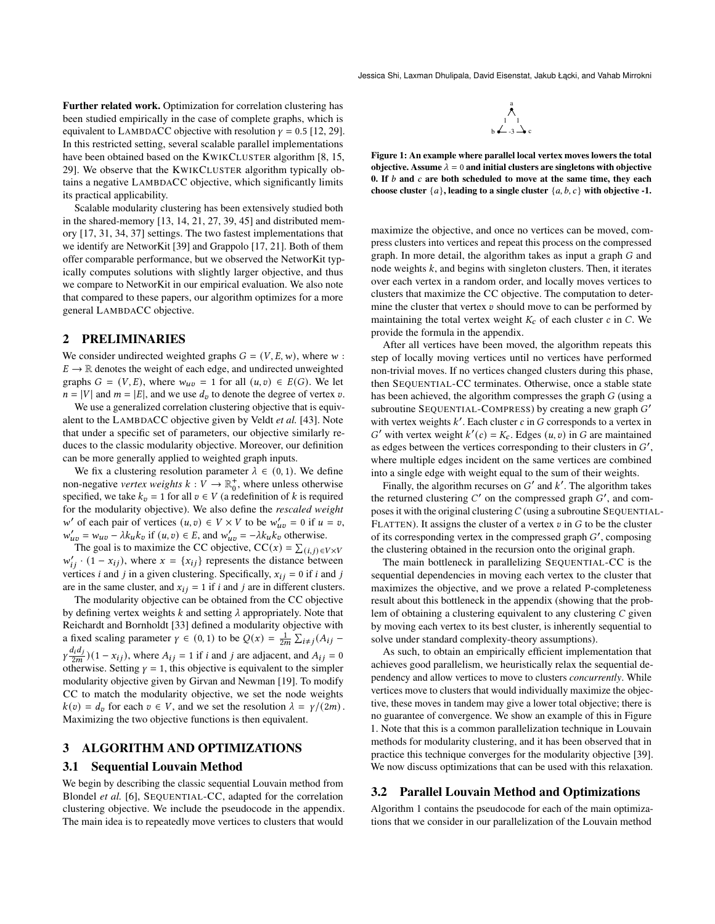<span id="page-1-0"></span>Jessica Shi, Laxman Dhulipala, David Eisenstat, Jakub Łącki, and Vahab Mirrokni

Further related work. Optimization for correlation clustering has been studied empirically in the case of complete graphs, which is equivalent to LAMBDACC objective with resolution  $\gamma = 0.5$  [\[12,](#page-8-15) [29\]](#page-8-16). In this restricted setting, several scalable parallel implementations have been obtained based on the KWIKCLUSTER algorithm [\[8,](#page-8-17) [15,](#page-8-18) [29\]](#page-8-16). We observe that the KWIKCLUSTER algorithm typically obtains a negative LAMBDACC objective, which significantly limits its practical applicability.

Scalable modularity clustering has been extensively studied both in the shared-memory [\[13,](#page-8-19) [14,](#page-8-20) [21,](#page-8-21) [27,](#page-8-10) [39,](#page-8-11) [45\]](#page-8-22) and distributed memory [\[17,](#page-8-23) [31,](#page-8-24) [34,](#page-8-25) [37\]](#page-8-26) settings. The two fastest implementations that we identify are NetworKit [\[39\]](#page-8-11) and Grappolo [\[17,](#page-8-23) [21\]](#page-8-21). Both of them offer comparable performance, but we observed the NetworKit typically computes solutions with slightly larger objective, and thus we compare to NetworKit in our empirical evaluation. We also note that compared to these papers, our algorithm optimizes for a more general LAMBDACC objective.

# <span id="page-1-1"></span>2 PRELIMINARIES

We consider undirected weighted graphs  $G = (V, E, w)$ , where  $w$ :  $E \rightarrow \mathbb{R}$  denotes the weight of each edge, and undirected unweighted graphs  $G = (V, E)$ , where  $w_{uv} = 1$  for all  $(u, v) \in E(G)$ . We let  $n = |V|$  and  $m = |E|$ , and we use  $d<sub>v</sub>$  to denote the degree of vertex v.

We use a generalized correlation clustering objective that is equivalent to the LAMBDACC objective given by Veldt *et al.* [\[43\]](#page-8-5). Note that under a specific set of parameters, our objective similarly reduces to the classic modularity objective. Moreover, our definition can be more generally applied to weighted graph inputs.

We fix a clustering resolution parameter  $\lambda \in (0, 1)$ . We define non-negative *vertex weights*  $k: V \to \mathbb{R}^+_0$ , where unless otherwise specified, we take  $k_v = 1$  for all  $v \in V$  (a redefinition of k is required for the modularity objective). We also define the *rescaled weight* w' of each pair of vertices  $(u, v) \in V \times V$  to be  $w'_{uv} = 0$  if  $u = v$ ,  $w'_{uv} = w_{uv} - \lambda k_u k_v$  if  $(u, v) \in E$ , and  $w'_{uv} = -\lambda k_u k_v$  otherwise.

The goal is to maximize the CC objective,  $CC(x) = \sum_{(i,j) \in V \times V}$  $w'_{ij} \cdot (1 - x_{ij})$ , where  $x = \{x_{ij}\}\$  represents the distance between vertices *i* and *j* in a given clustering. Specifically,  $x_{ij} = 0$  if *i* and *j* are in the same cluster, and  $x_{ij} = 1$  if *i* and *j* are in different clusters.

The modularity objective can be obtained from the CC objective by defining vertex weights k and setting  $\lambda$  appropriately. Note that Reichardt and Bornholdt [\[33\]](#page-8-27) defined a modularity objective with a fixed scaling parameter  $\gamma \in (0, 1)$  to be  $Q(x) = \frac{1}{2m} \sum_{i \neq j} (A_{ij} \gamma \frac{d_i d_j}{2m}$  $(1 - x_{ij})$ , where  $A_{ij} = 1$  if *i* and *j* are adjacent, and  $A_{ij} = 0$ otherwise. Setting  $\gamma = 1$ , this objective is equivalent to the simpler modularity objective given by Girvan and Newman [\[19\]](#page-8-6). To modify CC to match the modularity objective, we set the node weights  $k(v) = d_v$  for each  $v \in V$ , and we set the resolution  $\lambda = \gamma/(2m)$ . Maximizing the two objective functions is then equivalent.

#### 3 ALGORITHM AND OPTIMIZATIONS

#### 3.1 Sequential Louvain Method

We begin by describing the classic sequential Louvain method from Blondel *et al.* [\[6\]](#page-8-9), SEQUENTIAL-CC, adapted for the correlation clustering objective. We include the pseudocode in the appendix. The main idea is to repeatedly move vertices to clusters that would



Figure 1: An example where parallel local vertex moves lowers the total objective. Assume  $\lambda = 0$  and initial clusters are singletons with objective 0. If  $b$  and  $c$  are both scheduled to move at the same time, they each choose cluster  ${a}$ , leading to a single cluster  ${a, b, c}$  with objective -1.

maximize the objective, and once no vertices can be moved, compress clusters into vertices and repeat this process on the compressed graph. In more detail, the algorithm takes as input a graph  $G$  and node weights  $k$ , and begins with singleton clusters. Then, it iterates over each vertex in a random order, and locally moves vertices to clusters that maximize the CC objective. The computation to determine the cluster that vertex  $v$  should move to can be performed by maintaining the total vertex weight  $K_c$  of each cluster  $c$  in  $C$ . We provide the formula in the appendix.

After all vertices have been moved, the algorithm repeats this step of locally moving vertices until no vertices have performed non-trivial moves. If no vertices changed clusters during this phase, then SEQUENTIAL-CC terminates. Otherwise, once a stable state has been achieved, the algorithm compresses the graph  $G$  (using a subroutine SEQUENTIAL-COMPRESS) by creating a new graph G' with vertex weights  $k'$ . Each cluster  $c$  in  $G$  corresponds to a vertex in G' with vertex weight  $k'(c) = K_c$ . Edges  $(u, v)$  in G are maintained as edges between the vertices corresponding to their clusters in  $G'$ , where multiple edges incident on the same vertices are combined into a single edge with weight equal to the sum of their weights.

Finally, the algorithm recurses on  $G'$  and  $k'$ . The algorithm takes the returned clustering  $C'$  on the compressed graph  $G'$ , and composes it with the original clustering  $C$  (using a subroutine SEQUENTIAL-FLATTEN). It assigns the cluster of a vertex  $v$  in  $G$  to be the cluster of its corresponding vertex in the compressed graph  $G'$ , composing the clustering obtained in the recursion onto the original graph.

The main bottleneck in parallelizing SEQUENTIAL-CC is the sequential dependencies in moving each vertex to the cluster that maximizes the objective, and we prove a related P-completeness result about this bottleneck in the appendix (showing that the problem of obtaining a clustering equivalent to any clustering  $C$  given by moving each vertex to its best cluster, is inherently sequential to solve under standard complexity-theory assumptions).

As such, to obtain an empirically efficient implementation that achieves good parallelism, we heuristically relax the sequential dependency and allow vertices to move to clusters *concurrently*. While vertices move to clusters that would individually maximize the objective, these moves in tandem may give a lower total objective; there is no guarantee of convergence. We show an example of this in Figure [1.](#page-1-0) Note that this is a common parallelization technique in Louvain methods for modularity clustering, and it has been observed that in practice this technique converges for the modularity objective [\[39\]](#page-8-11). We now discuss optimizations that can be used with this relaxation.

#### <span id="page-1-2"></span>3.2 Parallel Louvain Method and Optimizations

Algorithm [1](#page-2-0) contains the pseudocode for each of the main optimizations that we consider in our parallelization of the Louvain method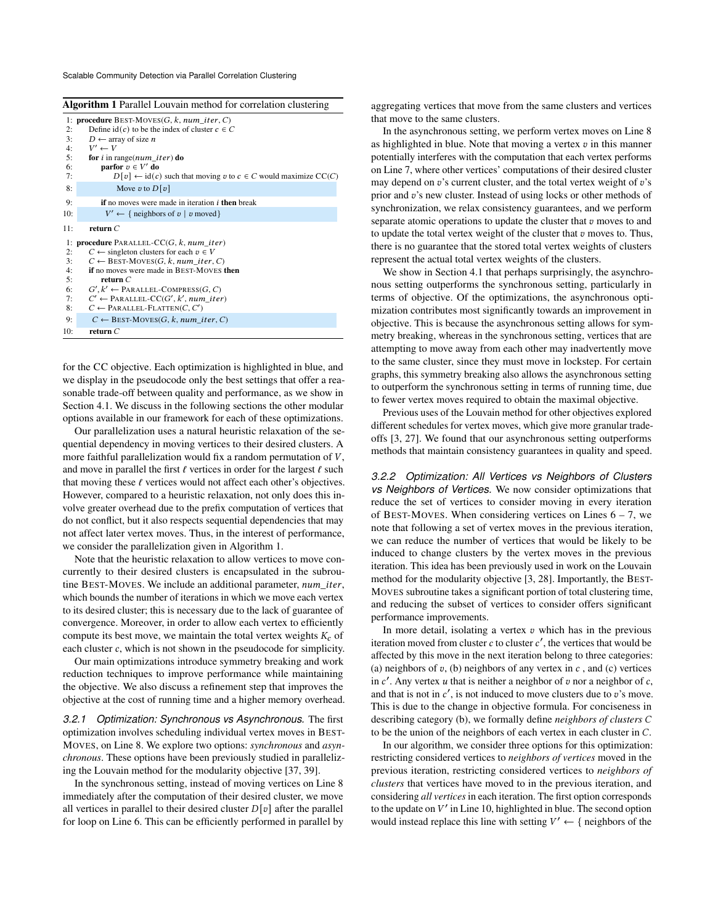Scalable Community Detection via Parallel Correlation Clustering

<span id="page-2-0"></span>

| Algorithm 1 Parallel Louvain method for correlation clustering |  |
|----------------------------------------------------------------|--|
|----------------------------------------------------------------|--|

|     | 1: <b>procedure</b> BEST-MOVES( $G$ , $k$ , $num\_iter$ , $C$ )                                                               |
|-----|-------------------------------------------------------------------------------------------------------------------------------|
| 2:  | Define $id(c)$ to be the index of cluster $c \in C$                                                                           |
| 3:  | $D \leftarrow$ array of size <i>n</i>                                                                                         |
| 4:  | $V' \leftarrow V$                                                                                                             |
| 5:  | for i in range( $num\_iter$ ) do                                                                                              |
| 6:  | parfor $v \in V'$ do                                                                                                          |
| 7:  | $D[\mathbf{v}] \leftarrow id(\mathbf{c})$ such that moving $\mathbf{v}$ to $\mathbf{c} \in C$ would maximize $\mathrm{CC}(C)$ |
| 8:  | Move v to $D[v]$                                                                                                              |
| 9:  | <b>if</b> no moves were made in iteration <i>i</i> then break                                                                 |
| 10: | $V' \leftarrow \{$ neighbors of $v \mid v$ moved}                                                                             |
| 11: | return $C$                                                                                                                    |
|     | 1: <b>procedure</b> PARALLEL-CC $(G, k, num$ <i>iter</i> )                                                                    |
| 2:  | $C \leftarrow$ singleton clusters for each $v \in V$                                                                          |
| 3:  | $C \leftarrow$ BEST-MOVES(G, k, num iter, C)                                                                                  |
| 4:  | if no moves were made in BEST-MOVES then                                                                                      |
| 5:  | return $C$                                                                                                                    |
| 6:  | $G', k' \leftarrow$ PARALLEL-COMPRESS(G, C)                                                                                   |
| 7:  | $C' \leftarrow$ PARALLEL-CC(G', k', num iter)                                                                                 |
| 8:  | $C \leftarrow$ PARALLEL-FLATTEN(C, C')                                                                                        |
| 9:  | $C \leftarrow$ BEST-MOVES(G, k, num iter, C)                                                                                  |
| 10: | return $C$                                                                                                                    |

for the CC objective. Each optimization is highlighted in blue, and we display in the pseudocode only the best settings that offer a reasonable trade-off between quality and performance, as we show in Section [4.1.](#page-4-0) We discuss in the following sections the other modular options available in our framework for each of these optimizations.

Our parallelization uses a natural heuristic relaxation of the sequential dependency in moving vertices to their desired clusters. A more faithful parallelization would fix a random permutation of  $V$ , and move in parallel the first  $\ell$  vertices in order for the largest  $\ell$  such that moving these  $\ell$  vertices would not affect each other's objectives. However, compared to a heuristic relaxation, not only does this involve greater overhead due to the prefix computation of vertices that do not conflict, but it also respects sequential dependencies that may not affect later vertex moves. Thus, in the interest of performance, we consider the parallelization given in Algorithm [1.](#page-2-0)

Note that the heuristic relaxation to allow vertices to move concurrently to their desired clusters is encapsulated in the subroutine BEST-MOVES. We include an additional parameter,  $num\_iter$ , which bounds the number of iterations in which we move each vertex to its desired cluster; this is necessary due to the lack of guarantee of convergence. Moreover, in order to allow each vertex to efficiently compute its best move, we maintain the total vertex weights  $K_c$  of each cluster  $c$ , which is not shown in the pseudocode for simplicity.

Our main optimizations introduce symmetry breaking and work reduction techniques to improve performance while maintaining the objective. We also discuss a refinement step that improves the objective at the cost of running time and a higher memory overhead.

<span id="page-2-1"></span>*3.2.1 Optimization: Synchronous vs Asynchronous.* The first optimization involves scheduling individual vertex moves in BEST-MOVES, on Line [8.](#page-2-0) We explore two options: *synchronous* and *asynchronous*. These options have been previously studied in parallelizing the Louvain method for the modularity objective [\[37,](#page-8-26) [39\]](#page-8-11).

In the synchronous setting, instead of moving vertices on Line [8](#page-2-0) immediately after the computation of their desired cluster, we move all vertices in parallel to their desired cluster  $D[v]$  after the parallel for loop on Line [6.](#page-2-0) This can be efficiently performed in parallel by aggregating vertices that move from the same clusters and vertices that move to the same clusters.

In the asynchronous setting, we perform vertex moves on Line [8](#page-2-0) as highlighted in blue. Note that moving a vertex  $v$  in this manner potentially interferes with the computation that each vertex performs on Line [7,](#page-2-0) where other vertices' computations of their desired cluster may depend on  $v$ 's current cluster, and the total vertex weight of  $v$ 's prior and  $v$ 's new cluster. Instead of using locks or other methods of synchronization, we relax consistency guarantees, and we perform separate atomic operations to update the cluster that  $v$  moves to and to update the total vertex weight of the cluster that  $v$  moves to. Thus, there is no guarantee that the stored total vertex weights of clusters represent the actual total vertex weights of the clusters.

We show in Section [4.1](#page-4-0) that perhaps surprisingly, the asynchronous setting outperforms the synchronous setting, particularly in terms of objective. Of the optimizations, the asynchronous optimization contributes most significantly towards an improvement in objective. This is because the asynchronous setting allows for symmetry breaking, whereas in the synchronous setting, vertices that are attempting to move away from each other may inadvertently move to the same cluster, since they must move in lockstep. For certain graphs, this symmetry breaking also allows the asynchronous setting to outperform the synchronous setting in terms of running time, due to fewer vertex moves required to obtain the maximal objective.

Previous uses of the Louvain method for other objectives explored different schedules for vertex moves, which give more granular tradeoffs [\[3,](#page-8-28) [27\]](#page-8-10). We found that our asynchronous setting outperforms methods that maintain consistency guarantees in quality and speed.

*3.2.2 Optimization: All Vertices vs Neighbors of Clusters vs Neighbors of Vertices.* We now consider optimizations that reduce the set of vertices to consider moving in every iteration of BEST-MOVES. When considering vertices on Lines  $6 - 7$ , we note that following a set of vertex moves in the previous iteration, we can reduce the number of vertices that would be likely to be induced to change clusters by the vertex moves in the previous iteration. This idea has been previously used in work on the Louvain method for the modularity objective [\[3,](#page-8-28) [28\]](#page-8-29). Importantly, the BEST-MOVES subroutine takes a significant portion of total clustering time, and reducing the subset of vertices to consider offers significant performance improvements.

In more detail, isolating a vertex  $v$  which has in the previous iteration moved from cluster  $c$  to cluster  $c'$ , the vertices that would be affected by this move in the next iteration belong to three categories: (a) neighbors of  $v$ , (b) neighbors of any vertex in  $c$ , and (c) vertices in  $c'$ . Any vertex  $u$  that is neither a neighbor of  $v$  nor a neighbor of  $c$ , and that is not in  $c'$ , is not induced to move clusters due to  $v$ 's move. This is due to the change in objective formula. For conciseness in describing category (b), we formally define *neighbors of clusters* to be the union of the neighbors of each vertex in each cluster in  $C$ .

In our algorithm, we consider three options for this optimization: restricting considered vertices to *neighbors of vertices* moved in the previous iteration, restricting considered vertices to *neighbors of clusters* that vertices have moved to in the previous iteration, and considering *all vertices* in each iteration. The first option corresponds to the update on  $V'$  in Line [10,](#page-2-0) highlighted in blue. The second option would instead replace this line with setting  $V' \leftarrow \{$  neighbors of the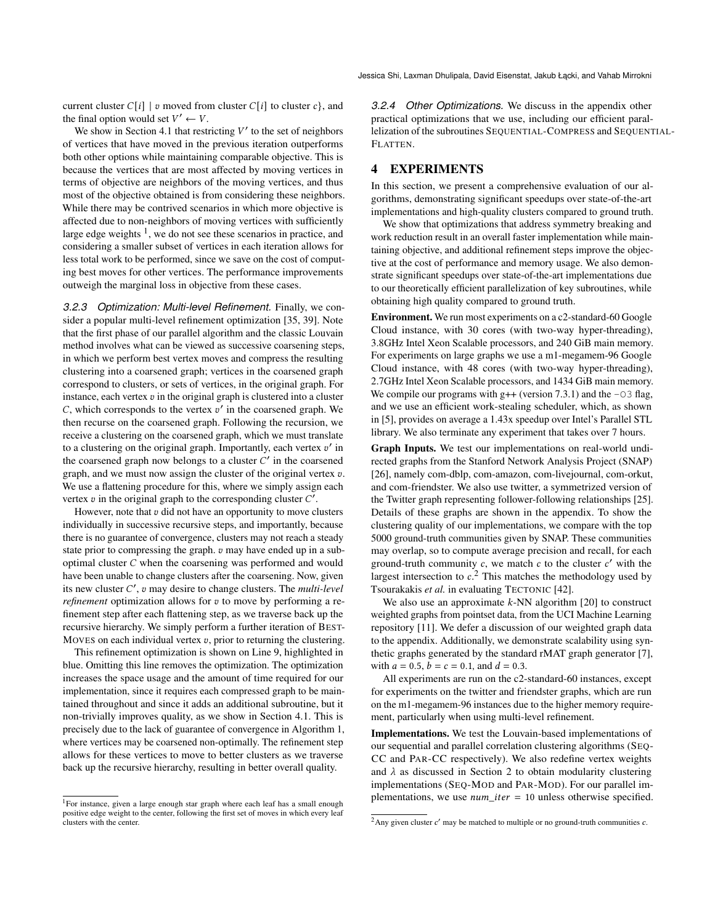current cluster  $C[i]$  |  $v$  moved from cluster  $C[i]$  to cluster  $c$ }, and the final option would set  $V' \leftarrow V$ .

We show in Section [4.1](#page-4-0) that restricting  $V'$  to the set of neighbors of vertices that have moved in the previous iteration outperforms both other options while maintaining comparable objective. This is because the vertices that are most affected by moving vertices in terms of objective are neighbors of the moving vertices, and thus most of the objective obtained is from considering these neighbors. While there may be contrived scenarios in which more objective is affected due to non-neighbors of moving vertices with sufficiently large edge weights  $<sup>1</sup>$  $<sup>1</sup>$  $<sup>1</sup>$ , we do not see these scenarios in practice, and</sup> considering a smaller subset of vertices in each iteration allows for less total work to be performed, since we save on the cost of computing best moves for other vertices. The performance improvements outweigh the marginal loss in objective from these cases.

*3.2.3 Optimization: Multi-level Refinement.* Finally, we consider a popular multi-level refinement optimization [\[35,](#page-8-30) [39\]](#page-8-11). Note that the first phase of our parallel algorithm and the classic Louvain method involves what can be viewed as successive coarsening steps, in which we perform best vertex moves and compress the resulting clustering into a coarsened graph; vertices in the coarsened graph correspond to clusters, or sets of vertices, in the original graph. For instance, each vertex  $v$  in the original graph is clustered into a cluster  $C$ , which corresponds to the vertex  $v'$  in the coarsened graph. We then recurse on the coarsened graph. Following the recursion, we receive a clustering on the coarsened graph, which we must translate to a clustering on the original graph. Importantly, each vertex  $v'$  in the coarsened graph now belongs to a cluster  $C'$  in the coarsened graph, and we must now assign the cluster of the original vertex  $v$ . We use a flattening procedure for this, where we simply assign each vertex  $v$  in the original graph to the corresponding cluster  $C'$ .

However, note that  $v$  did not have an opportunity to move clusters individually in successive recursive steps, and importantly, because there is no guarantee of convergence, clusters may not reach a steady state prior to compressing the graph.  $v$  may have ended up in a suboptimal cluster  $C$  when the coarsening was performed and would have been unable to change clusters after the coarsening. Now, given its new cluster ′ , may desire to change clusters. The *multi-level refinement* optimization allows for  $v$  to move by performing a refinement step after each flattening step, as we traverse back up the recursive hierarchy. We simply perform a further iteration of BEST-MOVES on each individual vertex  $v$ , prior to returning the clustering.

This refinement optimization is shown on Line [9,](#page-2-0) highlighted in blue. Omitting this line removes the optimization. The optimization increases the space usage and the amount of time required for our implementation, since it requires each compressed graph to be maintained throughout and since it adds an additional subroutine, but it non-trivially improves quality, as we show in Section [4.1.](#page-4-0) This is precisely due to the lack of guarantee of convergence in Algorithm [1,](#page-2-0) where vertices may be coarsened non-optimally. The refinement step allows for these vertices to move to better clusters as we traverse back up the recursive hierarchy, resulting in better overall quality.

<span id="page-3-0"></span><sup>1</sup>For instance, given a large enough star graph where each leaf has a small enough positive edge weight to the center, following the first set of moves in which every leaf clusters with the center.

*3.2.4 Other Optimizations.* We discuss in the appendix other practical optimizations that we use, including our efficient parallelization of the subroutines SEQUENTIAL-COMPRESS and SEQUENTIAL-FLATTEN.

# 4 EXPERIMENTS

In this section, we present a comprehensive evaluation of our algorithms, demonstrating significant speedups over state-of-the-art implementations and high-quality clusters compared to ground truth.

We show that optimizations that address symmetry breaking and work reduction result in an overall faster implementation while maintaining objective, and additional refinement steps improve the objective at the cost of performance and memory usage. We also demonstrate significant speedups over state-of-the-art implementations due to our theoretically efficient parallelization of key subroutines, while obtaining high quality compared to ground truth.

Environment. We run most experiments on a c2-standard-60 Google Cloud instance, with 30 cores (with two-way hyper-threading), 3.8GHz Intel Xeon Scalable processors, and 240 GiB main memory. For experiments on large graphs we use a m1-megamem-96 Google Cloud instance, with 48 cores (with two-way hyper-threading), 2.7GHz Intel Xeon Scalable processors, and 1434 GiB main memory. We compile our programs with  $g++$  (version 7.3.1) and the  $-03$  flag, and we use an efficient work-stealing scheduler, which, as shown in [\[5\]](#page-8-31), provides on average a 1.43x speedup over Intel's Parallel STL library. We also terminate any experiment that takes over 7 hours.

Graph Inputs. We test our implementations on real-world undirected graphs from the Stanford Network Analysis Project (SNAP) [\[26\]](#page-8-32), namely com-dblp, com-amazon, com-livejournal, com-orkut, and com-friendster. We also use twitter, a symmetrized version of the Twitter graph representing follower-following relationships [\[25\]](#page-8-33). Details of these graphs are shown in the appendix. To show the clustering quality of our implementations, we compare with the top 5000 ground-truth communities given by SNAP. These communities may overlap, so to compute average precision and recall, for each ground-truth community  $c$ , we match  $c$  to the cluster  $c'$  with the largest intersection to  $c<sup>2</sup>$  $c<sup>2</sup>$  $c<sup>2</sup>$ . This matches the methodology used by Tsourakakis et al. in evaluating TECTONIC [\[42\]](#page-8-13).

We also use an approximate  $k$ -NN algorithm [\[20\]](#page-8-34) to construct weighted graphs from pointset data, from the UCI Machine Learning repository [\[11\]](#page-8-35). We defer a discussion of our weighted graph data to the appendix. Additionally, we demonstrate scalability using synthetic graphs generated by the standard rMAT graph generator [\[7\]](#page-8-36), with  $a = 0.5$ ,  $b = c = 0.1$ , and  $d = 0.3$ .

All experiments are run on the c2-standard-60 instances, except for experiments on the twitter and friendster graphs, which are run on the m1-megamem-96 instances due to the higher memory requirement, particularly when using multi-level refinement.

Implementations. We test the Louvain-based implementations of our sequential and parallel correlation clustering algorithms (SEQ-CC and PAR-CC respectively). We also redefine vertex weights and  $\lambda$  as discussed in Section [2](#page-1-1) to obtain modularity clustering implementations (SEQ-MOD and PAR-MOD). For our parallel implementations, we use  $num\_iter = 10$  unless otherwise specified.

<span id="page-3-1"></span><sup>&</sup>lt;sup>2</sup> Any given cluster  $c'$  may be matched to multiple or no ground-truth communities  $c$ .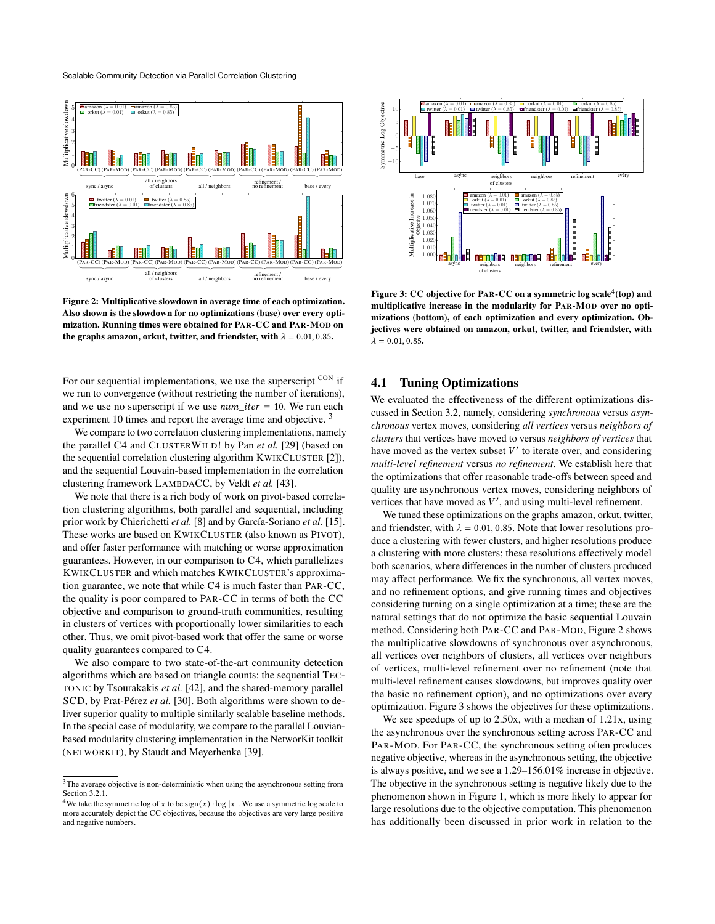<span id="page-4-3"></span>

Figure 2: Multiplicative slowdown in average time of each optimization. Also shown is the slowdown for no optimizations (base) over every optimization. Running times were obtained for PAR-CC and PAR-MOD on the graphs amazon, orkut, twitter, and friendster, with  $\lambda = 0.01, 0.85$ .

For our sequential implementations, we use the superscript CON if we run to convergence (without restricting the number of iterations), and we use no superscript if we use *num iter*  $= 10$ . We run each experiment 10 times and report the average time and objective.<sup>[3](#page-4-1)</sup>

We compare to two correlation clustering implementations, namely the parallel C4 and CLUSTERWILD! by Pan *et al.* [\[29\]](#page-8-16) (based on the sequential correlation clustering algorithm KWIKCLUSTER [\[2\]](#page-8-37)), and the sequential Louvain-based implementation in the correlation clustering framework LAMBDACC, by Veldt *et al.* [\[43\]](#page-8-5).

We note that there is a rich body of work on pivot-based correlation clustering algorithms, both parallel and sequential, including prior work by Chierichetti *et al.* [\[8\]](#page-8-17) and by García-Soriano *et al.* [\[15\]](#page-8-18). These works are based on KWIKCLUSTER (also known as PIVOT), and offer faster performance with matching or worse approximation guarantees. However, in our comparison to C4, which parallelizes KWIKCLUSTER and which matches KWIKCLUSTER's approximation guarantee, we note that while C4 is much faster than PAR-CC, the quality is poor compared to PAR-CC in terms of both the CC objective and comparison to ground-truth communities, resulting in clusters of vertices with proportionally lower similarities to each other. Thus, we omit pivot-based work that offer the same or worse quality guarantees compared to C4.

We also compare to two state-of-the-art community detection algorithms which are based on triangle counts: the sequential TEC-TONIC by Tsourakakis *et al.* [\[42\]](#page-8-13), and the shared-memory parallel SCD, by Prat-Pérez *et al.* [\[30\]](#page-8-14). Both algorithms were shown to deliver superior quality to multiple similarly scalable baseline methods. In the special case of modularity, we compare to the parallel Louvianbased modularity clustering implementation in the NetworKit toolkit (NETWORKIT), by Staudt and Meyerhenke [\[39\]](#page-8-11).

<span id="page-4-4"></span>

Figure 3: CC objective for PAR-CC on a symmetric log scale<sup>[4](#page-4-2)</sup>(top) and multiplicative increase in the modularity for PAR-MOD over no optimizations (bottom), of each optimization and every optimization. Objectives were obtained on amazon, orkut, twitter, and friendster, with  $\lambda = 0.01, 0.85$ .

# <span id="page-4-0"></span>4.1 Tuning Optimizations

We evaluated the effectiveness of the different optimizations discussed in Section [3.2,](#page-1-2) namely, considering *synchronous* versus *asynchronous* vertex moves, considering *all vertices* versus *neighbors of clusters* that vertices have moved to versus *neighbors of vertices* that have moved as the vertex subset  $V'$  to iterate over, and considering *multi-level refinement* versus *no refinement*. We establish here that the optimizations that offer reasonable trade-offs between speed and quality are asynchronous vertex moves, considering neighbors of vertices that have moved as  $V'$ , and using multi-level refinement.

We tuned these optimizations on the graphs amazon, orkut, twitter, and friendster, with  $\lambda = 0.01, 0.85$ . Note that lower resolutions produce a clustering with fewer clusters, and higher resolutions produce a clustering with more clusters; these resolutions effectively model both scenarios, where differences in the number of clusters produced may affect performance. We fix the synchronous, all vertex moves, and no refinement options, and give running times and objectives considering turning on a single optimization at a time; these are the natural settings that do not optimize the basic sequential Louvain method. Considering both PAR-CC and PAR-MOD, Figure [2](#page-4-3) shows the multiplicative slowdowns of synchronous over asynchronous, all vertices over neighbors of clusters, all vertices over neighbors of vertices, multi-level refinement over no refinement (note that multi-level refinement causes slowdowns, but improves quality over the basic no refinement option), and no optimizations over every optimization. Figure [3](#page-4-4) shows the objectives for these optimizations.

We see speedups of up to 2.50x, with a median of 1.21x, using the asynchronous over the synchronous setting across PAR-CC and PAR-MOD. For PAR-CC, the synchronous setting often produces negative objective, whereas in the asynchronous setting, the objective is always positive, and we see a 1.29–156.01% increase in objective. The objective in the synchronous setting is negative likely due to the phenomenon shown in Figure [1,](#page-1-0) which is more likely to appear for large resolutions due to the objective computation. This phenomenon has additionally been discussed in prior work in relation to the

<span id="page-4-1"></span><sup>3</sup>The average objective is non-deterministic when using the asynchronous setting from Section [3.2.1.](#page-2-1)

<span id="page-4-2"></span><sup>&</sup>lt;sup>4</sup>We take the symmetric log of x to be sign(x) · log |x|. We use a symmetric log scale to more accurately depict the CC objectives, because the objectives are very large positive and negative numbers.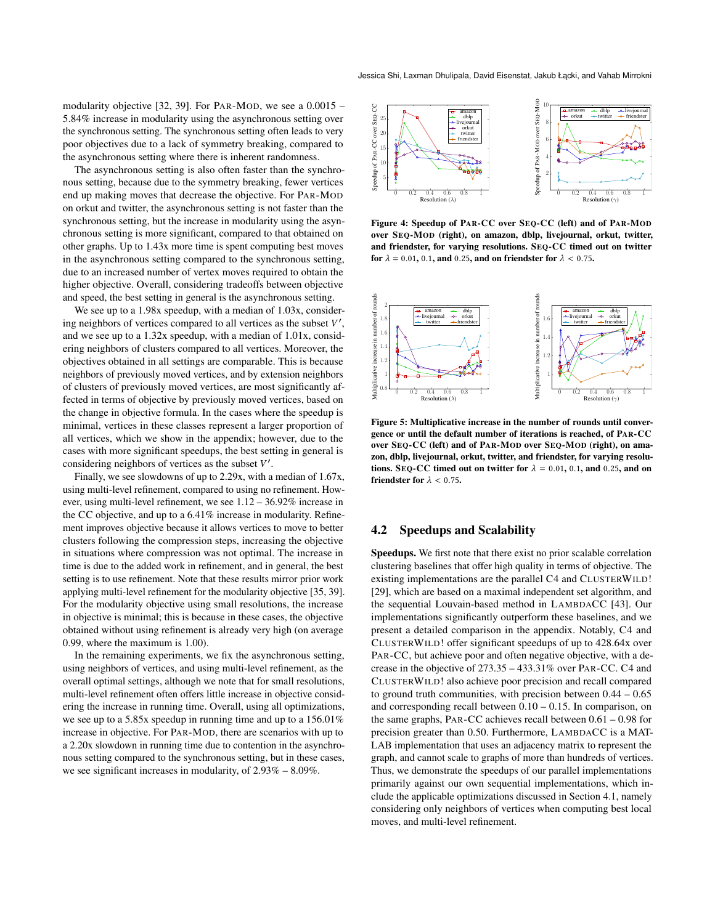modularity objective [\[32,](#page-8-38) [39\]](#page-8-11). For PAR-MOD, we see a 0.0015 – 5.84% increase in modularity using the asynchronous setting over the synchronous setting. The synchronous setting often leads to very poor objectives due to a lack of symmetry breaking, compared to the asynchronous setting where there is inherent randomness.

The asynchronous setting is also often faster than the synchronous setting, because due to the symmetry breaking, fewer vertices end up making moves that decrease the objective. For PAR-MOD on orkut and twitter, the asynchronous setting is not faster than the synchronous setting, but the increase in modularity using the asynchronous setting is more significant, compared to that obtained on other graphs. Up to 1.43x more time is spent computing best moves in the asynchronous setting compared to the synchronous setting, due to an increased number of vertex moves required to obtain the higher objective. Overall, considering tradeoffs between objective and speed, the best setting in general is the asynchronous setting.

We see up to a 1.98x speedup, with a median of 1.03x, considering neighbors of vertices compared to all vertices as the subset  $V'$ , and we see up to a 1.32x speedup, with a median of 1.01x, considering neighbors of clusters compared to all vertices. Moreover, the objectives obtained in all settings are comparable. This is because neighbors of previously moved vertices, and by extension neighbors of clusters of previously moved vertices, are most significantly affected in terms of objective by previously moved vertices, based on the change in objective formula. In the cases where the speedup is minimal, vertices in these classes represent a larger proportion of all vertices, which we show in the appendix; however, due to the cases with more significant speedups, the best setting in general is considering neighbors of vertices as the subset  $V'$ .

Finally, we see slowdowns of up to 2.29x, with a median of 1.67x, using multi-level refinement, compared to using no refinement. However, using multi-level refinement, we see 1.12 – 36.92% increase in the CC objective, and up to a 6.41% increase in modularity. Refinement improves objective because it allows vertices to move to better clusters following the compression steps, increasing the objective in situations where compression was not optimal. The increase in time is due to the added work in refinement, and in general, the best setting is to use refinement. Note that these results mirror prior work applying multi-level refinement for the modularity objective [\[35,](#page-8-30) [39\]](#page-8-11). For the modularity objective using small resolutions, the increase in objective is minimal; this is because in these cases, the objective obtained without using refinement is already very high (on average 0.99, where the maximum is 1.00).

In the remaining experiments, we fix the asynchronous setting, using neighbors of vertices, and using multi-level refinement, as the overall optimal settings, although we note that for small resolutions, multi-level refinement often offers little increase in objective considering the increase in running time. Overall, using all optimizations, we see up to a 5.85x speedup in running time and up to a 156.01% increase in objective. For PAR-MOD, there are scenarios with up to a 2.20x slowdown in running time due to contention in the asynchronous setting compared to the synchronous setting, but in these cases, we see significant increases in modularity, of 2.93% – 8.09%.

<span id="page-5-0"></span>

Figure 4: Speedup of PAR-CC over SEQ-CC (left) and of PAR-MOD over SEQ-MOD (right), on amazon, dblp, livejournal, orkut, twitter, and friendster, for varying resolutions. SEQ-CC timed out on twitter for  $\lambda = 0.01$ , 0.1, and 0.25, and on friendster for  $\lambda < 0.75$ .

<span id="page-5-1"></span>

Figure 5: Multiplicative increase in the number of rounds until convergence or until the default number of iterations is reached, of PAR-CC over SEQ-CC (left) and of PAR-MOD over SEQ-MOD (right), on amazon, dblp, livejournal, orkut, twitter, and friendster, for varying resolutions. SEQ-CC timed out on twitter for  $\lambda = 0.01, 0.1$ , and 0.25, and on friendster for  $\lambda < 0.75$ .

#### 4.2 Speedups and Scalability

Speedups. We first note that there exist no prior scalable correlation clustering baselines that offer high quality in terms of objective. The existing implementations are the parallel C4 and CLUSTERWILD! [\[29\]](#page-8-16), which are based on a maximal independent set algorithm, and the sequential Louvain-based method in LAMBDACC [\[43\]](#page-8-5). Our implementations significantly outperform these baselines, and we present a detailed comparison in the appendix. Notably, C4 and CLUSTERWILD! offer significant speedups of up to 428.64x over PAR-CC, but achieve poor and often negative objective, with a decrease in the objective of 273.35 – 433.31% over PAR-CC. C4 and CLUSTERWILD! also achieve poor precision and recall compared to ground truth communities, with precision between 0.44 – 0.65 and corresponding recall between 0.10 – 0.15. In comparison, on the same graphs, PAR-CC achieves recall between 0.61 – 0.98 for precision greater than 0.50. Furthermore, LAMBDACC is a MAT-LAB implementation that uses an adjacency matrix to represent the graph, and cannot scale to graphs of more than hundreds of vertices. Thus, we demonstrate the speedups of our parallel implementations primarily against our own sequential implementations, which include the applicable optimizations discussed in Section [4.1,](#page-4-0) namely considering only neighbors of vertices when computing best local moves, and multi-level refinement.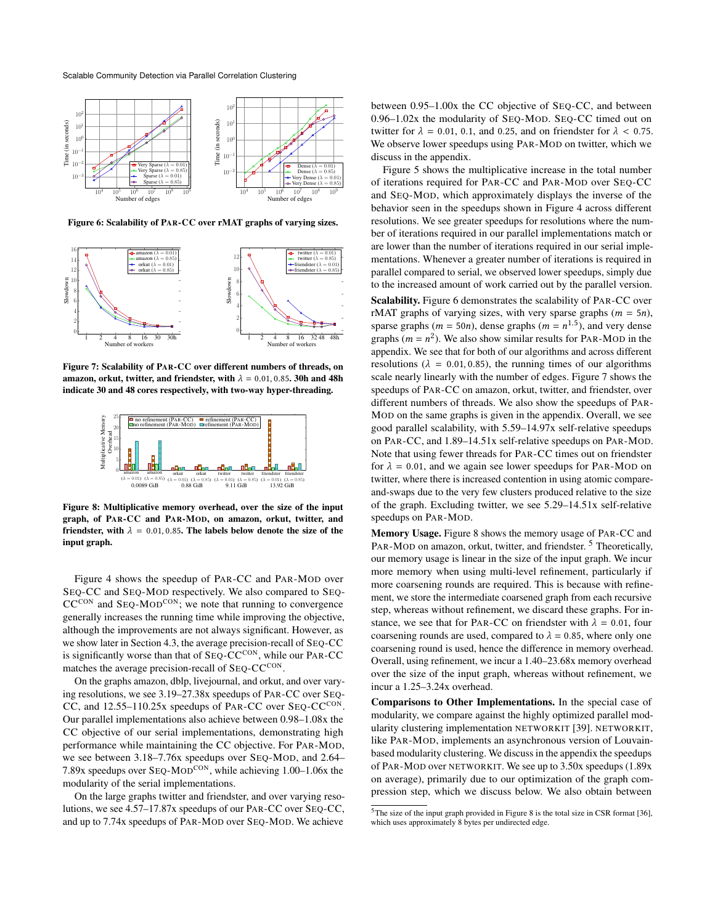<span id="page-6-0"></span>

Figure 6: Scalability of PAR-CC over rMAT graphs of varying sizes.

<span id="page-6-1"></span>

Figure 7: Scalability of PAR-CC over different numbers of threads, on amazon, orkut, twitter, and friendster, with  $\lambda = 0.01, 0.85$ . 30h and 48h indicate 30 and 48 cores respectively, with two-way hyper-threading.

<span id="page-6-2"></span>

Figure 8: Multiplicative memory overhead, over the size of the input graph, of PAR-CC and PAR-MOD, on amazon, orkut, twitter, and friendster, with  $\lambda = 0.01, 0.85$ . The labels below denote the size of the input graph.

Figure [4](#page-5-0) shows the speedup of PAR-CC and PAR-MOD over SEQ-CC and SEQ-MOD respectively. We also compared to SEQ- $CC^{CON}$  and  $Seq-MOD^{CON}$ ; we note that running to convergence generally increases the running time while improving the objective, although the improvements are not always significant. However, as we show later in Section [4.3,](#page-7-1) the average precision-recall of SEQ-CC is significantly worse than that of SEQ-CCCON, while our PAR-CC matches the average precision-recall of SEQ-CCCON.

On the graphs amazon, dblp, livejournal, and orkut, and over varying resolutions, we see 3.19–27.38x speedups of PAR-CC over SEQ-CC, and 12.55-110.25x speedups of PAR-CC over SEQ-CCCON. Our parallel implementations also achieve between 0.98–1.08x the CC objective of our serial implementations, demonstrating high performance while maintaining the CC objective. For PAR-MOD, we see between 3.18–7.76x speedups over SEQ-MOD, and 2.64– 7.89x speedups over SEQ-MODCON, while achieving 1.00–1.06x the modularity of the serial implementations.

On the large graphs twitter and friendster, and over varying resolutions, we see 4.57–17.87x speedups of our PAR-CC over SEQ-CC, and up to 7.74x speedups of PAR-MOD over SEQ-MOD. We achieve

between 0.95–1.00x the CC objective of SEQ-CC, and between 0.96–1.02x the modularity of SEQ-MOD. SEQ-CC timed out on twitter for  $\lambda = 0.01, 0.1,$  and 0.25, and on friendster for  $\lambda < 0.75$ . We observe lower speedups using PAR-MOD on twitter, which we discuss in the appendix.

Figure [5](#page-5-1) shows the multiplicative increase in the total number of iterations required for PAR-CC and PAR-MOD over SEQ-CC and SEQ-MOD, which approximately displays the inverse of the behavior seen in the speedups shown in Figure [4](#page-5-0) across different resolutions. We see greater speedups for resolutions where the number of iterations required in our parallel implementations match or are lower than the number of iterations required in our serial implementations. Whenever a greater number of iterations is required in parallel compared to serial, we observed lower speedups, simply due to the increased amount of work carried out by the parallel version.

Scalability. Figure [6](#page-6-0) demonstrates the scalability of PAR-CC over rMAT graphs of varying sizes, with very sparse graphs  $(m = 5n)$ , sparse graphs ( $m = 50n$ ), dense graphs ( $m = n^{1.5}$ ), and very dense graphs  $(m = n^2)$ . We also show similar results for PAR-MOD in the appendix. We see that for both of our algorithms and across different resolutions ( $\lambda = 0.01, 0.85$ ), the running times of our algorithms scale nearly linearly with the number of edges. Figure [7](#page-6-1) shows the speedups of PAR-CC on amazon, orkut, twitter, and friendster, over different numbers of threads. We also show the speedups of PAR-MOD on the same graphs is given in the appendix. Overall, we see good parallel scalability, with 5.59–14.97x self-relative speedups on PAR-CC, and 1.89–14.51x self-relative speedups on PAR-MOD. Note that using fewer threads for PAR-CC times out on friendster for  $\lambda = 0.01$ , and we again see lower speedups for PAR-MOD on twitter, where there is increased contention in using atomic compareand-swaps due to the very few clusters produced relative to the size of the graph. Excluding twitter, we see 5.29–14.51x self-relative speedups on PAR-MOD.

Memory Usage. Figure [8](#page-6-2) shows the memory usage of PAR-CC and PAR-MOD on amazon, orkut, twitter, and friendster.<sup>[5](#page-6-3)</sup> Theoretically, our memory usage is linear in the size of the input graph. We incur more memory when using multi-level refinement, particularly if more coarsening rounds are required. This is because with refinement, we store the intermediate coarsened graph from each recursive step, whereas without refinement, we discard these graphs. For instance, we see that for PAR-CC on friendster with  $\lambda = 0.01$ , four coarsening rounds are used, compared to  $\lambda = 0.85$ , where only one coarsening round is used, hence the difference in memory overhead. Overall, using refinement, we incur a 1.40–23.68x memory overhead over the size of the input graph, whereas without refinement, we incur a 1.25–3.24x overhead.

Comparisons to Other Implementations. In the special case of modularity, we compare against the highly optimized parallel modularity clustering implementation NETWORKIT [\[39\]](#page-8-11). NETWORKIT, like PAR-MOD, implements an asynchronous version of Louvainbased modularity clustering. We discuss in the appendix the speedups of PAR-MOD over NETWORKIT. We see up to 3.50x speedups (1.89x on average), primarily due to our optimization of the graph compression step, which we discuss below. We also obtain between

<span id="page-6-3"></span> $5$ The size of the input graph provided in Figure [8](#page-6-2) is the total size in CSR format [\[36\]](#page-8-39), which uses approximately 8 bytes per undirected edge.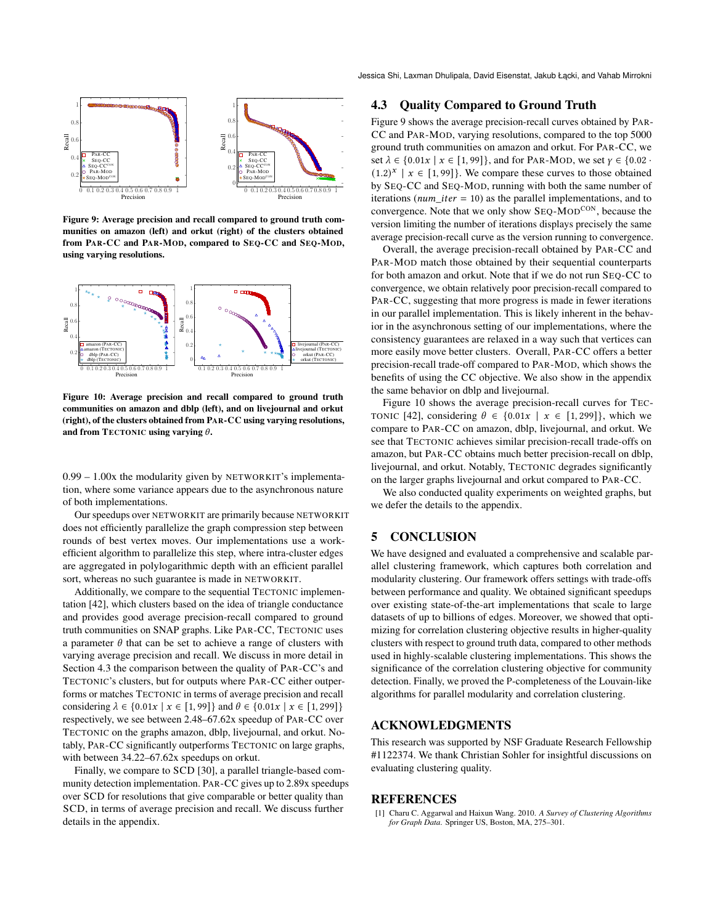Jessica Shi, Laxman Dhulipala, David Eisenstat, Jakub Łącki, and Vahab Mirrokni

<span id="page-7-2"></span>

Figure 9: Average precision and recall compared to ground truth communities on amazon (left) and orkut (right) of the clusters obtained from PAR-CC and PAR-MOD, compared to SEQ-CC and SEQ-MOD, using varying resolutions.

<span id="page-7-3"></span>

Figure 10: Average precision and recall compared to ground truth communities on amazon and dblp (left), and on livejournal and orkut (right), of the clusters obtained from PAR-CC using varying resolutions, and from TECTONIC using varying  $\theta$ .

0.99 – 1.00x the modularity given by NETWORKIT's implementation, where some variance appears due to the asynchronous nature of both implementations.

Our speedups over NETWORKIT are primarily because NETWORKIT does not efficiently parallelize the graph compression step between rounds of best vertex moves. Our implementations use a workefficient algorithm to parallelize this step, where intra-cluster edges are aggregated in polylogarithmic depth with an efficient parallel sort, whereas no such guarantee is made in NETWORKIT.

Additionally, we compare to the sequential TECTONIC implementation [\[42\]](#page-8-13), which clusters based on the idea of triangle conductance and provides good average precision-recall compared to ground truth communities on SNAP graphs. Like PAR-CC, TECTONIC uses a parameter  $\theta$  that can be set to achieve a range of clusters with varying average precision and recall. We discuss in more detail in Section [4.3](#page-7-1) the comparison between the quality of PAR-CC's and TECTONIC's clusters, but for outputs where PAR-CC either outperforms or matches TECTONIC in terms of average precision and recall considering  $\lambda \in \{0.01x \mid x \in [1, 99]\}$  and  $\theta \in \{0.01x \mid x \in [1, 299]\}$ respectively, we see between 2.48–67.62x speedup of PAR-CC over TECTONIC on the graphs amazon, dblp, livejournal, and orkut. Notably, PAR-CC significantly outperforms TECTONIC on large graphs, with between 34.22–67.62x speedups on orkut.

Finally, we compare to SCD [\[30\]](#page-8-14), a parallel triangle-based community detection implementation. PAR-CC gives up to 2.89x speedups over SCD for resolutions that give comparable or better quality than SCD, in terms of average precision and recall. We discuss further details in the appendix.

# <span id="page-7-1"></span>4.3 Quality Compared to Ground Truth

Figure [9](#page-7-2) shows the average precision-recall curves obtained by PAR-CC and PAR-MOD, varying resolutions, compared to the top 5000 ground truth communities on amazon and orkut. For PAR-CC, we set  $\lambda \in \{0.01x \mid x \in [1, 99]\}$ , and for PAR-MOD, we set  $\gamma \in \{0.02 \cdot \mathcal{O}\}$  $(1.2)^{x}$  |  $x \in [1, 99]$ . We compare these curves to those obtained by SEQ-CC and SEQ-MOD, running with both the same number of iterations ( $num\_iter = 10$ ) as the parallel implementations, and to convergence. Note that we only show SEQ-MOD<sup>CON</sup>, because the version limiting the number of iterations displays precisely the same average precision-recall curve as the version running to convergence.

Overall, the average precision-recall obtained by PAR-CC and PAR-MOD match those obtained by their sequential counterparts for both amazon and orkut. Note that if we do not run SEQ-CC to convergence, we obtain relatively poor precision-recall compared to PAR-CC, suggesting that more progress is made in fewer iterations in our parallel implementation. This is likely inherent in the behavior in the asynchronous setting of our implementations, where the consistency guarantees are relaxed in a way such that vertices can more easily move better clusters. Overall, PAR-CC offers a better precision-recall trade-off compared to PAR-MOD, which shows the benefits of using the CC objective. We also show in the appendix the same behavior on dblp and livejournal.

Figure [10](#page-7-3) shows the average precision-recall curves for TEC-TONIC [\[42\]](#page-8-13), considering  $\theta \in \{0.01x \mid x \in [1, 299]\}$ , which we compare to PAR-CC on amazon, dblp, livejournal, and orkut. We see that TECTONIC achieves similar precision-recall trade-offs on amazon, but PAR-CC obtains much better precision-recall on dblp, livejournal, and orkut. Notably, TECTONIC degrades significantly on the larger graphs livejournal and orkut compared to PAR-CC.

We also conducted quality experiments on weighted graphs, but we defer the details to the appendix.

# 5 CONCLUSION

We have designed and evaluated a comprehensive and scalable parallel clustering framework, which captures both correlation and modularity clustering. Our framework offers settings with trade-offs between performance and quality. We obtained significant speedups over existing state-of-the-art implementations that scale to large datasets of up to billions of edges. Moreover, we showed that optimizing for correlation clustering objective results in higher-quality clusters with respect to ground truth data, compared to other methods used in highly-scalable clustering implementations. This shows the significance of the correlation clustering objective for community detection. Finally, we proved the P-completeness of the Louvain-like algorithms for parallel modularity and correlation clustering.

# ACKNOWLEDGMENTS

This research was supported by NSF Graduate Research Fellowship #1122374. We thank Christian Sohler for insightful discussions on evaluating clustering quality.

#### REFERENCES

<span id="page-7-0"></span>[1] Charu C. Aggarwal and Haixun Wang. 2010. *A Survey of Clustering Algorithms for Graph Data*. Springer US, Boston, MA, 275–301.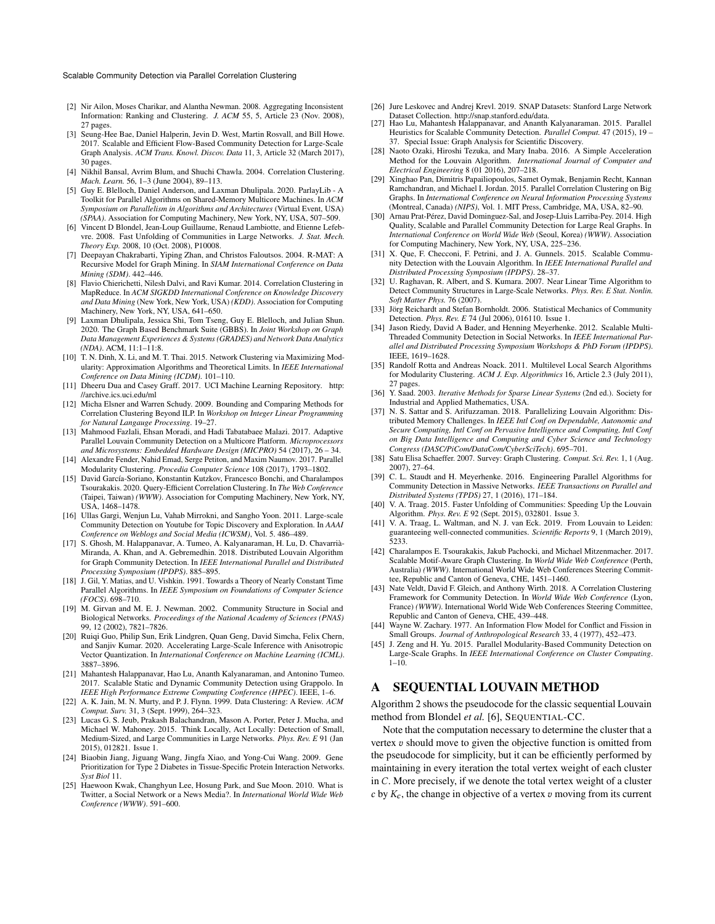#### Scalable Community Detection via Parallel Correlation Clustering

- <span id="page-8-37"></span>[2] Nir Ailon, Moses Charikar, and Alantha Newman. 2008. Aggregating Inconsistent Information: Ranking and Clustering. *J. ACM* 55, 5, Article 23 (Nov. 2008), 27 pages.
- <span id="page-8-28"></span>[3] Seung-Hee Bae, Daniel Halperin, Jevin D. West, Martin Rosvall, and Bill Howe. 2017. Scalable and Efficient Flow-Based Community Detection for Large-Scale Graph Analysis. *ACM Trans. Knowl. Discov. Data* 11, 3, Article 32 (March 2017), 30 pages.
- <span id="page-8-7"></span>[4] Nikhil Bansal, Avrim Blum, and Shuchi Chawla. 2004. Correlation Clustering. *Mach. Learn.* 56, 1–3 (June 2004), 89–113.
- <span id="page-8-31"></span>[5] Guy E. Blelloch, Daniel Anderson, and Laxman Dhulipala. 2020. ParlayLib - A Toolkit for Parallel Algorithms on Shared-Memory Multicore Machines. In *ACM Symposium on Parallelism in Algorithms and Architectures* (Virtual Event, USA) *(SPAA)*. Association for Computing Machinery, New York, NY, USA, 507–509.
- <span id="page-8-9"></span>[6] Vincent D Blondel, Jean-Loup Guillaume, Renaud Lambiotte, and Etienne Lefebvre. 2008. Fast Unfolding of Communities in Large Networks. *J. Stat. Mech. Theory Exp.* 2008, 10 (Oct. 2008), P10008.
- <span id="page-8-36"></span>[7] Deepayan Chakrabarti, Yiping Zhan, and Christos Faloutsos. 2004. R-MAT: A Recursive Model for Graph Mining. In *SIAM International Conference on Data Mining (SDM)*. 442–446.
- <span id="page-8-17"></span>[8] Flavio Chierichetti, Nilesh Dalvi, and Ravi Kumar. 2014. Correlation Clustering in MapReduce. In *ACM SIGKDD International Conference on Knowledge Discovery and Data Mining* (New York, New York, USA) *(KDD)*. Association for Computing Machinery, New York, NY, USA, 641–650.
- <span id="page-8-40"></span>[9] Laxman Dhulipala, Jessica Shi, Tom Tseng, Guy E. Blelloch, and Julian Shun. 2020. The Graph Based Benchmark Suite (GBBS). In *Joint Workshop on Graph Data Management Experiences & Systems (GRADES) and Network Data Analytics (NDA)*. ACM, 11:1–11:8.
- <span id="page-8-8"></span>[10] T. N. Dinh, X. Li, and M. T. Thai. 2015. Network Clustering via Maximizing Modularity: Approximation Algorithms and Theoretical Limits. In *IEEE International Conference on Data Mining (ICDM)*. 101–110.
- <span id="page-8-35"></span>[11] Dheeru Dua and Casey Graff. 2017. UCI Machine Learning Repository. [http:](http://archive.ics.uci.edu/ml) [//archive.ics.uci.edu/ml](http://archive.ics.uci.edu/ml)
- <span id="page-8-15"></span>[12] Micha Elsner and Warren Schudy. 2009. Bounding and Comparing Methods for Correlation Clustering Beyond ILP. In *Workshop on Integer Linear Programming for Natural Langauge Processing*. 19–27.
- <span id="page-8-19"></span>[13] Mahmood Fazlali, Ehsan Moradi, and Hadi Tabatabaee Malazi. 2017. Adaptive Parallel Louvain Community Detection on a Multicore Platform. *Microprocessors and Microsystems: Embedded Hardware Design (MICPRO)* 54 (2017), 26 – 34.
- <span id="page-8-20"></span>[14] Alexandre Fender, Nahid Emad, Serge Petiton, and Maxim Naumov. 2017. Parallel Modularity Clustering. *Procedia Computer Science* 108 (2017), 1793–1802.
- <span id="page-8-18"></span>[15] David García-Soriano, Konstantin Kutzkov, Francesco Bonchi, and Charalampos Tsourakakis. 2020. Query-Efficient Correlation Clustering. In *The Web Conference* (Taipei, Taiwan) *(WWW)*. Association for Computing Machinery, New York, NY, USA, 1468–1478.
- <span id="page-8-1"></span>[16] Ullas Gargi, Wenjun Lu, Vahab Mirrokni, and Sangho Yoon. 2011. Large-scale Community Detection on Youtube for Topic Discovery and Exploration. In *AAAI Conference on Weblogs and Social Media (ICWSM)*, Vol. 5. 486–489.
- <span id="page-8-23"></span>[17] S. Ghosh, M. Halappanavar, A. Tumeo, A. Kalyanaraman, H. Lu, D. Chavarrià-Miranda, A. Khan, and A. Gebremedhin. 2018. Distributed Louvain Algorithm for Graph Community Detection. In *IEEE International Parallel and Distributed Processing Symposium (IPDPS)*. 885–895.
- <span id="page-8-41"></span>[18] J. Gil, Y. Matias, and U. Vishkin. 1991. Towards a Theory of Nearly Constant Time Parallel Algorithms. In *IEEE Symposium on Foundations of Computer Science (FOCS)*. 698–710.
- <span id="page-8-6"></span>[19] M. Girvan and M. E. J. Newman. 2002. Community Structure in Social and Biological Networks. *Proceedings of the National Academy of Sciences (PNAS)* 99, 12 (2002), 7821–7826.
- <span id="page-8-34"></span>[20] Ruiqi Guo, Philip Sun, Erik Lindgren, Quan Geng, David Simcha, Felix Chern, and Sanjiv Kumar. 2020. Accelerating Large-Scale Inference with Anisotropic Vector Quantization. In *International Conference on Machine Learning (ICML)*. 3887–3896.
- <span id="page-8-21"></span>[21] Mahantesh Halappanavar, Hao Lu, Ananth Kalyanaraman, and Antonino Tumeo. 2017. Scalable Static and Dynamic Community Detection using Grappolo. In *IEEE High Performance Extreme Computing Conference (HPEC)*. IEEE, 1–6.
- <span id="page-8-3"></span>[22] A. K. Jain, M. N. Murty, and P. J. Flynn. 1999. Data Clustering: A Review. *ACM Comput. Surv.* 31, 3 (Sept. 1999), 264–323.
- <span id="page-8-0"></span>[23] Lucas G. S. Jeub, Prakash Balachandran, Mason A. Porter, Peter J. Mucha, and Michael W. Mahoney. 2015. Think Locally, Act Locally: Detection of Small, Medium-Sized, and Large Communities in Large Networks. *Phys. Rev. E* 91 (Jan 2015), 012821. Issue 1.
- <span id="page-8-2"></span>[24] Biaobin Jiang, Jiguang Wang, Jingfa Xiao, and Yong-Cui Wang. 2009. Gene Prioritization for Type 2 Diabetes in Tissue-Specific Protein Interaction Networks. *Syst Biol* 11.
- <span id="page-8-33"></span>[25] Haewoon Kwak, Changhyun Lee, Hosung Park, and Sue Moon. 2010. What is Twitter, a Social Network or a News Media?. In *International World Wide Web Conference (WWW)*. 591–600.
- <span id="page-8-32"></span>[26] Jure Leskovec and Andrej Krevl. 2019. SNAP Datasets: Stanford Large Network Dataset Collection. [http://snap.stanford.edu/data.](http://snap.stanford.edu/data)
- <span id="page-8-10"></span>[27] Hao Lu, Mahantesh Halappanavar, and Ananth Kalyanaraman. 2015. Parallel Heuristics for Scalable Community Detection. *Parallel Comput.* 47 (2015), 19 – 37. Special Issue: Graph Analysis for Scientific Discovery.
- <span id="page-8-29"></span>[28] Naoto Ozaki, Hiroshi Tezuka, and Mary Inaba. 2016. A Simple Acceleration Method for the Louvain Algorithm. *International Journal of Computer and Electrical Engineering* 8 (01 2016), 207–218.
- <span id="page-8-16"></span>[29] Xinghao Pan, Dimitris Papailiopoulos, Samet Oymak, Benjamin Recht, Kannan Ramchandran, and Michael I. Jordan. 2015. Parallel Correlation Clustering on Big Graphs. In *International Conference on Neural Information Processing Systems* (Montreal, Canada) *(NIPS)*, Vol. 1. MIT Press, Cambridge, MA, USA, 82–90.
- <span id="page-8-14"></span>[30] Arnau Prat-Pérez, David Dominguez-Sal, and Josep-Lluis Larriba-Pey. 2014. High Quality, Scalable and Parallel Community Detection for Large Real Graphs. In *International Conference on World Wide Web* (Seoul, Korea) *(WWW)*. Association for Computing Machinery, New York, NY, USA, 225–236.
- <span id="page-8-24"></span>[31] X. Que, F. Checconi, F. Petrini, and J. A. Gunnels. 2015. Scalable Community Detection with the Louvain Algorithm. In *IEEE International Parallel and Distributed Processing Symposium (IPDPS)*. 28–37.
- <span id="page-8-38"></span>[32] U. Raghavan, R. Albert, and S. Kumara. 2007. Near Linear Time Algorithm to Detect Community Structures in Large-Scale Networks. *Phys. Rev. E Stat. Nonlin. Soft Matter Phys.* 76 (2007).
- <span id="page-8-27"></span>[33] Jörg Reichardt and Stefan Bornholdt. 2006. Statistical Mechanics of Community Detection. *Phys. Rev. E* 74 (Jul 2006), 016110. Issue 1.
- <span id="page-8-25"></span>[34] Jason Riedy, David A Bader, and Henning Meyerhenke. 2012. Scalable Multi-Threaded Community Detection in Social Networks. In *IEEE International Parallel and Distributed Processing Symposium Workshops & PhD Forum (IPDPS)*. IEEE, 1619–1628.
- <span id="page-8-30"></span>[35] Randolf Rotta and Andreas Noack. 2011. Multilevel Local Search Algorithms for Modularity Clustering. *ACM J. Exp. Algorithmics* 16, Article 2.3 (July 2011), 27 pages.
- <span id="page-8-39"></span>[36] Y. Saad. 2003. *Iterative Methods for Sparse Linear Systems* (2nd ed.). Society for Industrial and Applied Mathematics, USA.
- <span id="page-8-26"></span>[37] N. S. Sattar and S. Arifuzzaman. 2018. Parallelizing Louvain Algorithm: Distributed Memory Challenges. In *IEEE Intl Conf on Dependable, Autonomic and Secure Computing, Intl Conf on Pervasive Intelligence and Computing, Intl Conf on Big Data Intelligence and Computing and Cyber Science and Technology Congress (DASC/PiCom/DataCom/CyberSciTech)*. 695–701.
- <span id="page-8-4"></span>[38] Satu Elisa Schaeffer. 2007. Survey: Graph Clustering. *Comput. Sci. Rev.* 1, 1 (Aug. 2007), 27–64.
- <span id="page-8-11"></span>[39] C. L. Staudt and H. Meyerhenke. 2016. Engineering Parallel Algorithms for Community Detection in Massive Networks. *IEEE Transactions on Parallel and Distributed Systems (TPDS)* 27, 1 (2016), 171–184.
- [40] V. A. Traag. 2015. Faster Unfolding of Communities: Speeding Up the Louvain Algorithm. *Phys. Rev. E* 92 (Sept. 2015), 032801. Issue 3.
- <span id="page-8-12"></span>[41] V. A. Traag, L. Waltman, and N. J. van Eck. 2019. From Louvain to Leiden: guaranteeing well-connected communities. *Scientific Reports* 9, 1 (March 2019), 5233.
- <span id="page-8-13"></span>[42] Charalampos E. Tsourakakis, Jakub Pachocki, and Michael Mitzenmacher. 2017. Scalable Motif-Aware Graph Clustering. In *World Wide Web Conference* (Perth, Australia) *(WWW)*. International World Wide Web Conferences Steering Committee, Republic and Canton of Geneva, CHE, 1451–1460.
- <span id="page-8-5"></span>[43] Nate Veldt, David F. Gleich, and Anthony Wirth. 2018. A Correlation Clustering Framework for Community Detection. In *World Wide Web Conference* (Lyon, France) *(WWW)*. International World Wide Web Conferences Steering Committee, Republic and Canton of Geneva, CHE, 439–448.
- <span id="page-8-42"></span>[44] Wayne W. Zachary. 1977. An Information Flow Model for Conflict and Fission in Small Groups. *Journal of Anthropological Research* 33, 4 (1977), 452–473.
- <span id="page-8-22"></span>[45] J. Zeng and H. Yu. 2015. Parallel Modularity-Based Community Detection on Large-Scale Graphs. In *IEEE International Conference on Cluster Computing*. 1–10.

# A SEQUENTIAL LOUVAIN METHOD

Algorithm [2](#page-9-0) shows the pseudocode for the classic sequential Louvain method from Blondel *et al.* [\[6\]](#page-8-9), SEQUENTIAL-CC.

Note that the computation necessary to determine the cluster that a vertex  $v$  should move to given the objective function is omitted from the pseudocode for simplicity, but it can be efficiently performed by maintaining in every iteration the total vertex weight of each cluster in  $C$ . More precisely, if we denote the total vertex weight of a cluster c by  $K_c$ , the change in objective of a vertex  $v$  moving from its current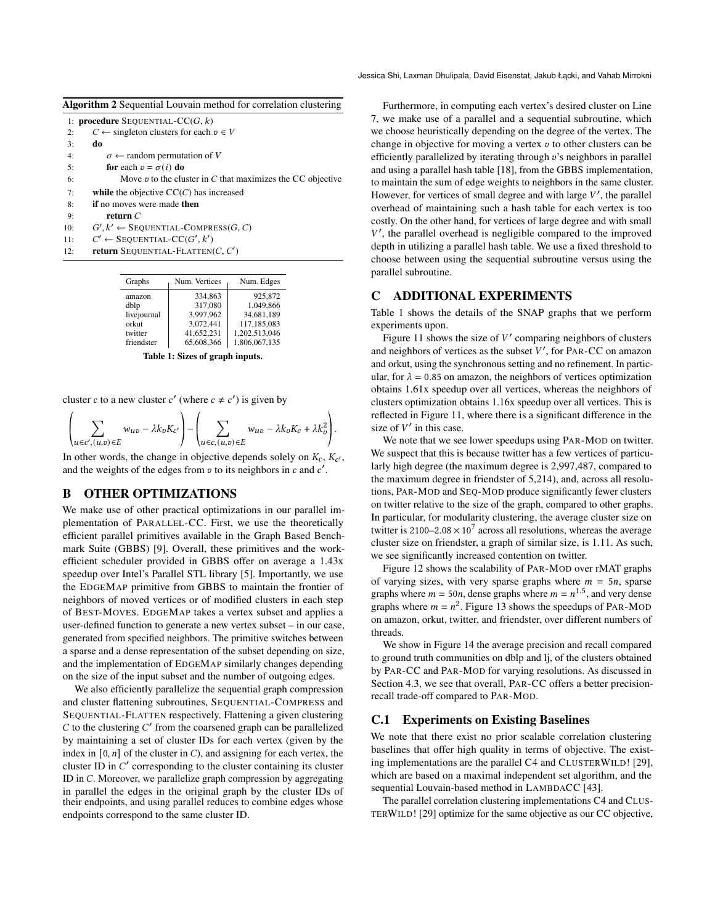| Jessica Shi, Laxman Dhulipala, David Eisenstat, Jakub Łącki, and Vahab Mirrokni |  |  |  |
|---------------------------------------------------------------------------------|--|--|--|
|---------------------------------------------------------------------------------|--|--|--|

<span id="page-9-0"></span>

|  | Algorithm 2 Sequential Louvain method for correlation clustering |  |  |  |  |
|--|------------------------------------------------------------------|--|--|--|--|
|--|------------------------------------------------------------------|--|--|--|--|

|     | 1: <b>procedure</b> SEQUENTIAL- $CC(G, k)$                        |
|-----|-------------------------------------------------------------------|
| 2:  | $C \leftarrow$ singleton clusters for each $v \in V$              |
| 3:  | do                                                                |
| 4:  | $\sigma \leftarrow$ random permutation of V                       |
| 5:  | for each $v = \sigma(i)$ do                                       |
| 6:  | Move $\sigma$ to the cluster in C that maximizes the CC objective |
| 7:  | while the objective $\mathrm{CC}(C)$ has increased                |
| 8:  | <b>if</b> no moves were made <b>then</b>                          |
| 9:  | return $C$                                                        |
| 10: | $G', k' \leftarrow$ SEQUENTIAL-COMPRESS(G, C)                     |
| 11: | $C' \leftarrow$ SEQUENTIAL-CC(G', k')                             |
| 12: | <b>return</b> SEQUENTIAL-FLATTEN $(C, C')$                        |

<span id="page-9-1"></span>

| Graphs      | Num. Vertices | Num. Edges    |
|-------------|---------------|---------------|
| amazon      | 334,863       | 925,872       |
| dblp        | 317,080       | 1,049,866     |
| livejournal | 3,997,962     | 34,681,189    |
| orkut       | 3,072,441     | 117,185,083   |
| twitter     | 41,652,231    | 1,202,513,046 |
| friendster  | 65,608,366    | 1,806,067,135 |

Table 1: Sizes of graph inputs.

cluster c to a new cluster c' (where  $c \neq c'$ ) is given by

$$
\left(\sum_{u \in c', (u,v) \in E} w_{uv} - \lambda k_v K_{c'}\right) - \left(\sum_{u \in c, (u,v) \in E} w_{uv} - \lambda k_v K_c + \lambda k_v^2\right).
$$

In other words, the change in objective depends solely on  $K_c$ ,  $K_{c'}$ , and the weights of the edges from  $v$  to its neighbors in  $c$  and  $c'$ .

## B OTHER OPTIMIZATIONS

We make use of other practical optimizations in our parallel implementation of PARALLEL-CC. First, we use the theoretically efficient parallel primitives available in the Graph Based Benchmark Suite (GBBS) [\[9\]](#page-8-40). Overall, these primitives and the workefficient scheduler provided in GBBS offer on average a 1.43x speedup over Intel's Parallel STL library [\[5\]](#page-8-31). Importantly, we use the EDGEMAP primitive from GBBS to maintain the frontier of neighbors of moved vertices or of modified clusters in each step of BEST-MOVES. EDGEMAP takes a vertex subset and applies a user-defined function to generate a new vertex subset – in our case, generated from specified neighbors. The primitive switches between a sparse and a dense representation of the subset depending on size, and the implementation of EDGEMAP similarly changes depending on the size of the input subset and the number of outgoing edges.

We also efficiently parallelize the sequential graph compression and cluster flattening subroutines, SEQUENTIAL-COMPRESS and SEQUENTIAL-FLATTEN respectively. Flattening a given clustering  $C$  to the clustering  $C'$  from the coarsened graph can be parallelized by maintaining a set of cluster IDs for each vertex (given by the index in  $[0, n]$  of the cluster in C), and assigning for each vertex, the cluster ID in  $C'$  corresponding to the cluster containing its cluster ID in  $C$ . Moreover, we parallelize graph compression by aggregating in parallel the edges in the original graph by the cluster IDs of their endpoints, and using parallel reduces to combine edges whose endpoints correspond to the same cluster ID.

Furthermore, in computing each vertex's desired cluster on Line [7,](#page-2-0) we make use of a parallel and a sequential subroutine, which we choose heuristically depending on the degree of the vertex. The change in objective for moving a vertex  $v$  to other clusters can be efficiently parallelized by iterating through  $v$ 's neighbors in parallel and using a parallel hash table [\[18\]](#page-8-41), from the GBBS implementation, to maintain the sum of edge weights to neighbors in the same cluster. However, for vertices of small degree and with large  $V'$ , the parallel overhead of maintaining such a hash table for each vertex is too costly. On the other hand, for vertices of large degree and with small V', the parallel overhead is negligible compared to the improved depth in utilizing a parallel hash table. We use a fixed threshold to choose between using the sequential subroutine versus using the parallel subroutine.

# C ADDITIONAL EXPERIMENTS

Table [1](#page-9-1) shows the details of the SNAP graphs that we perform experiments upon.

Figure [11](#page-10-0) shows the size of  $V'$  comparing neighbors of clusters and neighbors of vertices as the subset  $V'$ , for PAR-CC on amazon and orkut, using the synchronous setting and no refinement. In particular, for  $\lambda = 0.85$  on amazon, the neighbors of vertices optimization obtains 1.61x speedup over all vertices, whereas the neighbors of clusters optimization obtains 1.16x speedup over all vertices. This is reflected in Figure [11,](#page-10-0) where there is a significant difference in the size of  $V'$  in this case.

We note that we see lower speedups using PAR-MOD on twitter. We suspect that this is because twitter has a few vertices of particularly high degree (the maximum degree is 2,997,487, compared to the maximum degree in friendster of 5,214), and, across all resolutions, PAR-MOD and SEQ-MOD produce significantly fewer clusters on twitter relative to the size of the graph, compared to other graphs. In particular, for modularity clustering, the average cluster size on twitter is  $2100-2.08 \times 10^7$  across all resolutions, whereas the average cluster size on friendster, a graph of similar size, is 1.11. As such, we see significantly increased contention on twitter.

Figure [12](#page-10-1) shows the scalability of PAR-MOD over rMAT graphs of varying sizes, with very sparse graphs where  $m = 5n$ , sparse graphs where  $m = 50n$ , dense graphs where  $m = n^{1.5}$ , and very dense graphs where  $m = n^2$ . Figure [13](#page-10-2) shows the speedups of PAR-MOD on amazon, orkut, twitter, and friendster, over different numbers of threads.

We show in Figure [14](#page-11-0) the average precision and recall compared to ground truth communities on dblp and lj, of the clusters obtained by PAR-CC and PAR-MOD for varying resolutions. As discussed in Section [4.3,](#page-7-1) we see that overall, PAR-CC offers a better precisionrecall trade-off compared to PAR-MOD.

#### C.1 Experiments on Existing Baselines

We note that there exist no prior scalable correlation clustering baselines that offer high quality in terms of objective. The existing implementations are the parallel C4 and CLUSTERWILD! [\[29\]](#page-8-16), which are based on a maximal independent set algorithm, and the sequential Louvain-based method in LAMBDACC [\[43\]](#page-8-5).

The parallel correlation clustering implementations C4 and CLUS-TERWILD! [\[29\]](#page-8-16) optimize for the same objective as our CC objective,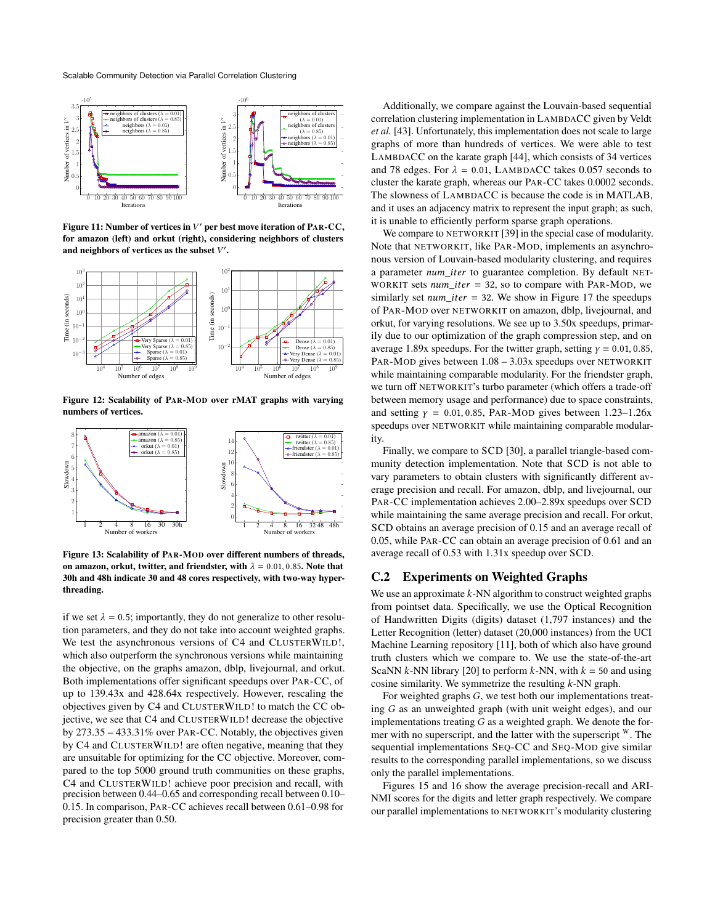Scalable Community Detection via Parallel Correlation Clustering

<span id="page-10-0"></span>

Figure 11: Number of vertices in  $V'$  per best move iteration of PAR-CC, for amazon (left) and orkut (right), considering neighbors of clusters and neighbors of vertices as the subset  $V'$ .

<span id="page-10-1"></span>

Figure 12: Scalability of PAR-MOD over rMAT graphs with varying numbers of vertices.

<span id="page-10-2"></span>

Figure 13: Scalability of PAR-MOD over different numbers of threads, on amazon, orkut, twitter, and friendster, with  $\lambda = 0.01, 0.85$ . Note that 30h and 48h indicate 30 and 48 cores respectively, with two-way hyperthreading.

if we set  $\lambda = 0.5$ ; importantly, they do not generalize to other resolution parameters, and they do not take into account weighted graphs. We test the asynchronous versions of C4 and CLUSTERWILD!, which also outperform the synchronous versions while maintaining the objective, on the graphs amazon, dblp, livejournal, and orkut. Both implementations offer significant speedups over PAR-CC, of up to 139.43x and 428.64x respectively. However, rescaling the objectives given by C4 and CLUSTERWILD! to match the CC objective, we see that C4 and CLUSTERWILD! decrease the objective by 273.35 – 433.31% over PAR-CC. Notably, the objectives given by C4 and CLUSTERWILD! are often negative, meaning that they are unsuitable for optimizing for the CC objective. Moreover, compared to the top 5000 ground truth communities on these graphs, C4 and CLUSTERWILD! achieve poor precision and recall, with precision between 0.44–0.65 and corresponding recall between 0.10– 0.15. In comparison, PAR-CC achieves recall between 0.61–0.98 for precision greater than 0.50.

Additionally, we compare against the Louvain-based sequential correlation clustering implementation in LAMBDACC given by Veldt *et al.* [\[43\]](#page-8-5). Unfortunately, this implementation does not scale to large graphs of more than hundreds of vertices. We were able to test LAMBDACC on the karate graph [\[44\]](#page-8-42), which consists of 34 vertices and 78 edges. For  $\lambda = 0.01$ , LAMBDACC takes 0.057 seconds to cluster the karate graph, whereas our PAR-CC takes 0.0002 seconds. The slowness of LAMBDACC is because the code is in MATLAB, and it uses an adjacency matrix to represent the input graph; as such, it is unable to efficiently perform sparse graph operations.

We compare to NETWORKIT [\[39\]](#page-8-11) in the special case of modularity. Note that NETWORKIT, like PAR-MOD, implements an asynchronous version of Louvain-based modularity clustering, and requires a parameter num\_iter to guarantee completion. By default NET-WORKIT sets  $num\_iter = 32$ , so to compare with PAR-MOD, we similarly set *num\_iter* = 32. We show in Figure [17](#page-12-0) the speedups of PAR-MOD over NETWORKIT on amazon, dblp, livejournal, and orkut, for varying resolutions. We see up to 3.50x speedups, primarily due to our optimization of the graph compression step, and on average 1.89x speedups. For the twitter graph, setting  $y = 0.01, 0.85$ , PAR-MOD gives between 1.08 – 3.03x speedups over NETWORKIT while maintaining comparable modularity. For the friendster graph, we turn off NETWORKIT's turbo parameter (which offers a trade-off between memory usage and performance) due to space constraints, and setting  $y = 0.01, 0.85$ , PAR-MOD gives between 1.23–1.26x speedups over NETWORKIT while maintaining comparable modularity.

Finally, we compare to SCD [\[30\]](#page-8-14), a parallel triangle-based community detection implementation. Note that SCD is not able to vary parameters to obtain clusters with significantly different average precision and recall. For amazon, dblp, and livejournal, our PAR-CC implementation achieves 2.00–2.89x speedups over SCD while maintaining the same average precision and recall. For orkut, SCD obtains an average precision of 0.15 and an average recall of 0.05, while PAR-CC can obtain an average precision of 0.61 and an average recall of 0.53 with 1.31x speedup over SCD.

# C.2 Experiments on Weighted Graphs

We use an approximate  $k$ -NN algorithm to construct weighted graphs from pointset data. Specifically, we use the Optical Recognition of Handwritten Digits (digits) dataset (1,797 instances) and the Letter Recognition (letter) dataset (20,000 instances) from the UCI Machine Learning repository [\[11\]](#page-8-35), both of which also have ground truth clusters which we compare to. We use the state-of-the-art ScaNN  $k$ -NN library [\[20\]](#page-8-34) to perform  $k$ -NN, with  $k = 50$  and using cosine similarity. We symmetrize the resulting  $k$ -NN graph.

For weighted graphs G, we test both our implementations treating  $G$  as an unweighted graph (with unit weight edges), and our implementations treating  $G$  as a weighted graph. We denote the former with no superscript, and the latter with the superscript  $W$ . The sequential implementations SEQ-CC and SEQ-MOD give similar results to the corresponding parallel implementations, so we discuss only the parallel implementations.

Figures [15](#page-11-1) and [16](#page-11-2) show the average precision-recall and ARI-NMI scores for the digits and letter graph respectively. We compare our parallel implementations to NETWORKIT's modularity clustering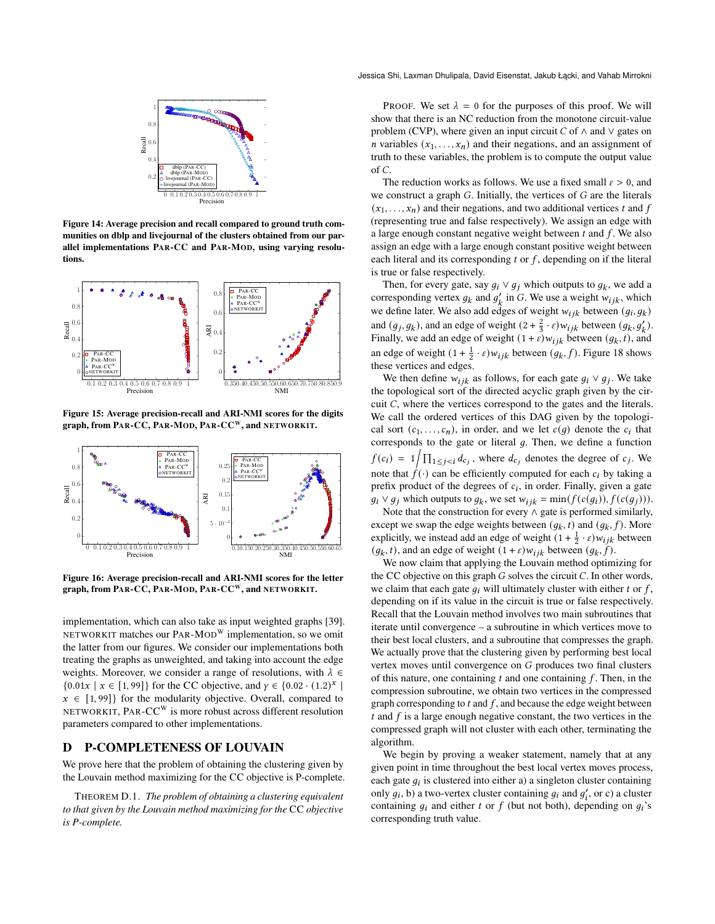<span id="page-11-0"></span>

Figure 14: Average precision and recall compared to ground truth communities on dblp and livejournal of the clusters obtained from our parallel implementations PAR-CC and PAR-MOD, using varying resolutions.

<span id="page-11-1"></span>

Figure 15: Average precision-recall and ARI-NMI scores for the digits graph, from PAR-CC, PAR-MOD, PAR-CC<sup>W</sup>, and NETWORKIT.

<span id="page-11-2"></span>

Figure 16: Average precision-recall and ARI-NMI scores for the letter graph, from PAR-CC, PAR-MOD, PAR-CC<sup>W</sup>, and NETWORKIT.

implementation, which can also take as input weighted graphs [\[39\]](#page-8-11). NETWORKIT matches our PAR-MOD<sup>W</sup> implementation, so we omit the latter from our figures. We consider our implementations both treating the graphs as unweighted, and taking into account the edge weights. Moreover, we consider a range of resolutions, with  $\lambda \in$  ${0.01x | x \in [1,99]}$  for the CC objective, and  $\gamma \in {0.02 \cdot (1.2)^x}$ |  $x \in [1, 99]$  for the modularity objective. Overall, compared to NETWORKIT, PAR-CC<sup>W</sup> is more robust across different resolution parameters compared to other implementations.

#### D P-COMPLETENESS OF LOUVAIN

We prove here that the problem of obtaining the clustering given by the Louvain method maximizing for the CC objective is P-complete.

THEOREM D.1. *The problem of obtaining a clustering equivalent to that given by the Louvain method maximizing for the* CC *objective is P-complete.*

PROOF. We set  $\lambda = 0$  for the purposes of this proof. We will show that there is an NC reduction from the monotone circuit-value problem (CVP), where given an input circuit  $C$  of  $\wedge$  and  $\vee$  gates on *n* variables  $(x_1, \ldots, x_n)$  and their negations, and an assignment of truth to these variables, the problem is to compute the output value of  $C$ .

The reduction works as follows. We use a fixed small  $\varepsilon > 0$ , and we construct a graph  $G$ . Initially, the vertices of  $G$  are the literals  $(x_1, \ldots, x_n)$  and their negations, and two additional vertices t and f (representing true and false respectively). We assign an edge with a large enough constant negative weight between  $t$  and  $f$ . We also assign an edge with a large enough constant positive weight between each literal and its corresponding  $t$  or  $f$ , depending on if the literal is true or false respectively.

Then, for every gate, say  $g_i \vee g_j$  which outputs to  $g_k$ , we add a corresponding vertex  $g_k$  and  $g'_k$  in G. We use a weight  $w_{ijk}$ , which we define later. We also add edges of weight  $w_{ijk}$  between  $(g_i, g_k)$ and  $(g_j, g_k)$ , and an edge of weight  $(2 + \frac{2}{3} \cdot \varepsilon) w_{ijk}$  between  $(g_k, g'_k)$ . Finally, we add an edge of weight  $(1 + \varepsilon)w_{ijk}$  between  $(g_k, t)$ , and an edge of weight  $(1 + \frac{1}{2} \cdot \varepsilon) w_{ijk}$  between  $(g_k, f)$ . Figure [18](#page-12-1) shows these vertices and edges.

We then define  $w_{ijk}$  as follows, for each gate  $g_i \vee g_j$ . We take the topological sort of the directed acyclic graph given by the circuit  $C$ , where the vertices correspond to the gates and the literals. We call the ordered vertices of this DAG given by the topological sort  $(c_1, \ldots, c_n)$ , in order, and we let  $c(g)$  denote the  $c_i$  that corresponds to the gate or literal  $g$ . Then, we define a function  $f(c_i) = 1/\prod_{1 \leq j < i} d_{c_j}$ , where  $d_{c_j}$  denotes the degree of  $c_j$ . We note that  $\hat{f}(\cdot)$  can be efficiently computed for each  $c_i$  by taking a prefix product of the degrees of  $c_i$ , in order. Finally, given a gate  $g_i \vee g_j$  which outputs to  $g_k$ , we set  $w_{ijk} = \min(f(c(g_i)), f(c(g_j))).$ 

Note that the construction for every ∧ gate is performed similarly, except we swap the edge weights between  $(g_k, t)$  and  $(g_k, f)$ . More explicitly, we instead add an edge of weight  $(1 + \frac{1}{2} \cdot \varepsilon)w_{ijk}$  between  $(g_k, t)$ , and an edge of weight  $(1 + \varepsilon)w_{iik}$  between  $(g_k, f)$ .

We now claim that applying the Louvain method optimizing for the CC objective on this graph  $G$  solves the circuit  $C$ . In other words, we claim that each gate  $q_i$  will ultimately cluster with either t or f, depending on if its value in the circuit is true or false respectively. Recall that the Louvain method involves two main subroutines that iterate until convergence – a subroutine in which vertices move to their best local clusters, and a subroutine that compresses the graph. We actually prove that the clustering given by performing best local vertex moves until convergence on  $G$  produces two final clusters of this nature, one containing  $t$  and one containing  $f$ . Then, in the compression subroutine, we obtain two vertices in the compressed graph corresponding to  $t$  and  $f$ , and because the edge weight between  $t$  and  $f$  is a large enough negative constant, the two vertices in the compressed graph will not cluster with each other, terminating the algorithm.

We begin by proving a weaker statement, namely that at any given point in time throughout the best local vertex moves process, each gate  $g_i$  is clustered into either a) a singleton cluster containing only  $g_i$ , b) a two-vertex cluster containing  $g_i$  and  $g'_i$ , or c) a cluster containing  $q_i$  and either t or f (but not both), depending on  $q_i$ 's corresponding truth value.